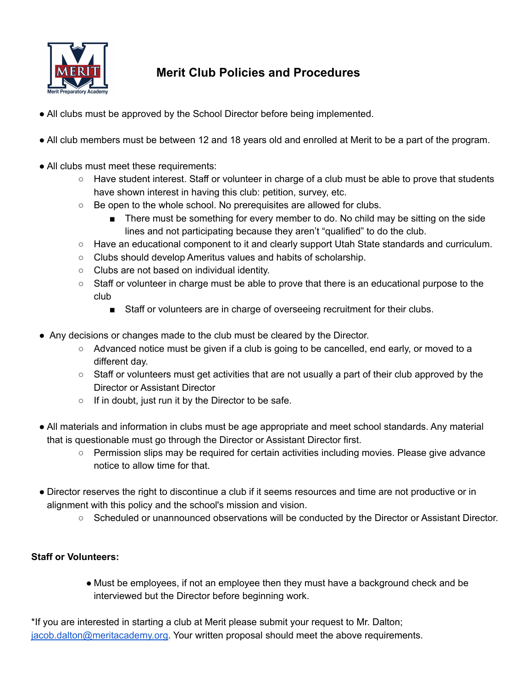

## **Merit Club Policies and Procedures**

- All clubs must be approved by the School Director before being implemented.
- All club members must be between 12 and 18 years old and enrolled at Merit to be a part of the program.
- All clubs must meet these requirements:
	- Have student interest. Staff or volunteer in charge of a club must be able to prove that students have shown interest in having this club: petition, survey, etc.
	- Be open to the whole school. No prerequisites are allowed for clubs.
		- There must be something for every member to do. No child may be sitting on the side lines and not participating because they aren't "qualified" to do the club.
	- Have an educational component to it and clearly support Utah State standards and curriculum.
	- Clubs should develop Ameritus values and habits of scholarship.
	- Clubs are not based on individual identity.
	- Staff or volunteer in charge must be able to prove that there is an educational purpose to the club
		- Staff or volunteers are in charge of overseeing recruitment for their clubs.
- Any decisions or changes made to the club must be cleared by the Director.
	- Advanced notice must be given if a club is going to be cancelled, end early, or moved to a different day.
	- Staff or volunteers must get activities that are not usually a part of their club approved by the Director or Assistant Director
	- If in doubt, just run it by the Director to be safe.
- All materials and information in clubs must be age appropriate and meet school standards. Any material that is questionable must go through the Director or Assistant Director first.
	- Permission slips may be required for certain activities including movies. Please give advance notice to allow time for that.
- Director reserves the right to discontinue a club if it seems resources and time are not productive or in alignment with this policy and the school's mission and vision.
	- Scheduled or unannounced observations will be conducted by the Director or Assistant Director.

## **Staff or Volunteers:**

● Must be employees, if not an employee then they must have a background check and be interviewed but the Director before beginning work.

\*If you are interested in starting a club at Merit please submit your request to Mr. Dalton; [jacob.dalton@meritacademy.org.](mailto:jabo.dalton@meritacademy.org) Your written proposal should meet the above requirements.